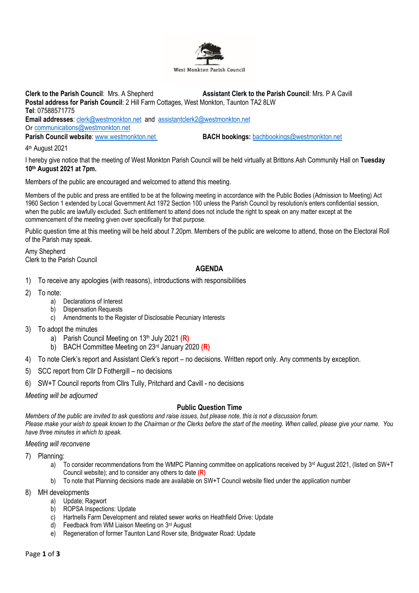

**Clerk to the Parish Council**: Mrs. A Shepherd **Assistant Clerk to the Parish Council**: Mrs. P A Cavill **Postal address for Parish Council**: 2 Hill Farm Cottages, West Monkton, Taunton TA2 8LW **Tel**: 07588571775 **Email addresses**: [clerk@westmonkton.net](mailto:clerk@westmonkton.net) and [assistantclerk2@westmonkton.net](mailto:assistantclerk2@westmonkton.net) Or [communications@westmonkton.net](mailto:communications@westmonkton.net) **Parish Council website:** [www.westmonkton.net](http://www.westmonkton.net/) **BACH bookings:** [bachbookings@westmonkton.net](mailto:bachbookings@westmonkton.net)

4 th August 2021

I hereby give notice that the meeting of West Monkton Parish Council will be held virtually at Brittons Ash Community Hall on **Tuesday 10th August 2021 at 7pm.**

Members of the public are encouraged and welcomed to attend this meeting.

Members of the public and press are entitled to be at the following meeting in accordance with the Public Bodies (Admission to Meeting) Act 1960 Section 1 extended by Local Government Act 1972 Section 100 unless the Parish Council by resolution/s enters confidential session, when the public are lawfully excluded. Such entitlement to attend does not include the right to speak on any matter except at the commencement of the meeting given over specifically for that purpose.

Public question time at this meeting will be held about 7.20pm. Members of the public are welcome to attend, those on the Electoral Roll of the Parish may speak.

Amy Shepherd Clerk to the Parish Council

## **AGENDA**

- 1) To receive any apologies (with reasons), introductions with responsibilities
- 2) To note:
	- a) Declarations of Interest
	- b) Dispensation Requests
	- c) Amendments to the Register of Disclosable Pecuniary Interests
- 3) To adopt the minutes
	- a) Parish Council Meeting on 13th July 2021 **(R)**
	- b) BACH Committee Meeting on 23rd January 2020 **(R)**
- 4) To note Clerk's report and Assistant Clerk's report no decisions. Written report only. Any comments by exception.
- 5) SCC report from Cllr D Fothergill no decisions
- 6) SW+T Council reports from Cllrs Tully, Pritchard and Cavill no decisions

*Meeting will be adjourned*

#### **Public Question Time**

*Members of the public are invited to ask questions and raise issues, but please note, this is not a discussion forum.*

*Please make your wish to speak known to the Chairman or the Clerks before the start of the meeting. When called, please give your name. You have three minutes in which to speak.*

#### *Meeting will reconvene*

- 7) Planning:
	- a) To consider recommendations from the WMPC Planning committee on applications received by  $3<sup>rd</sup>$  August 2021, (listed on SW+T Council website); and to consider any others to date **(R)**
	- b) To note that Planning decisions made are available on SW+T Council website filed under the application number
- 8) MH developments
	- a) Update; Ragwort
	- b) ROPSA Inspections: Update
	- c) Hartnells Farm Development and related sewer works on Heathfield Drive: Update
	- d) Feedback from WM Liaison Meeting on 3rd August
	- e) Regeneration of former Taunton Land Rover site, Bridgwater Road: Update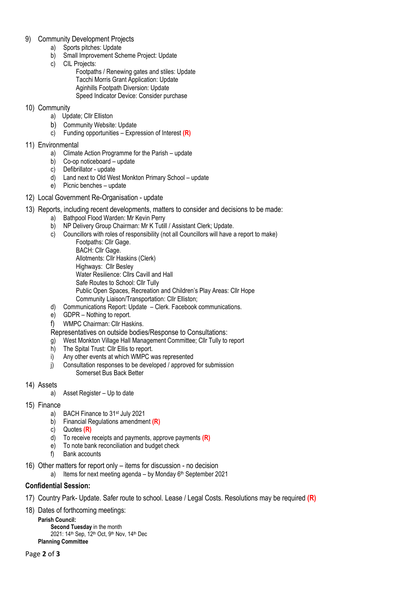## 9) Community Development Projects

- a) Sports pitches: Update
- b) Small Improvement Scheme Project: Update
- c) CIL Projects:
	- Footpaths / Renewing gates and stiles: Update Tacchi Morris Grant Application: Update Aginhills Footpath Diversion: Update Speed Indicator Device: Consider purchase

## 10) Community

- a) Update; Cllr Elliston
- b) Community Website: Update
- c) Funding opportunities Expression of Interest **(R)**
- 11) Environmental
	- a) Climate Action Programme for the Parish update
	- b) Co-op noticeboard update
	- c) Defibrillator update
	- d) Land next to Old West Monkton Primary School update
	- e) Picnic benches update
- 12) Local Government Re-Organisation update
- 13) Reports, including recent developments, matters to consider and decisions to be made:
	- a) Bathpool Flood Warden: Mr Kevin Perry
	- b) NP Delivery Group Chairman: Mr K Tutill / Assistant Clerk; Update.
	- c) Councillors with roles of responsibility (not all Councillors will have a report to make) Footpaths: Cllr Gage. BACH: Cllr Gage. Allotments: Cllr Haskins (Clerk) Highways: Cllr Besley Water Resilience: Cllrs Cavill and Hall Safe Routes to School: Cllr Tully Public Open Spaces, Recreation and Children's Play Areas: Cllr Hope Community Liaison/Transportation: Cllr Elliston;
	- d) Communications Report: Update Clerk. Facebook communications.
	- e) GDPR Nothing to report.
	- f) WMPC Chairman: Cllr Haskins.

Representatives on outside bodies/Response to Consultations:

- g) West Monkton Village Hall Management Committee; Cllr Tully to report
- h) The Spital Trust: Cllr Ellis to report.
- i) Any other events at which WMPC was represented
- j) Consultation responses to be developed / approved for submission Somerset Bus Back Better
- 14) Assets
	- a) Asset Register Up to date
- 15) Finance
	- a) BACH Finance to 31st July 2021
	- b) Financial Regulations amendment **(R)**
	- c) Quotes **(R)**
	- d) To receive receipts and payments, approve payments **(R)**
	- e) To note bank reconciliation and budget check
	- f) Bank accounts
- 16) Other matters for report only items for discussion no decision
	- a) Items for next meeting agenda by Monday  $6<sup>th</sup>$  September 2021

# **Confidential Session:**

- 17) Country Park- Update. Safer route to school. Lease / Legal Costs. Resolutions may be required **(R)**
- 18) Dates of forthcoming meetings:

**Parish Council: Second Tuesday** in the month 2021: 14<sup>th</sup> Sep, 12<sup>th</sup> Oct, 9<sup>th</sup> Nov, 14<sup>th</sup> Dec **Planning Committee**